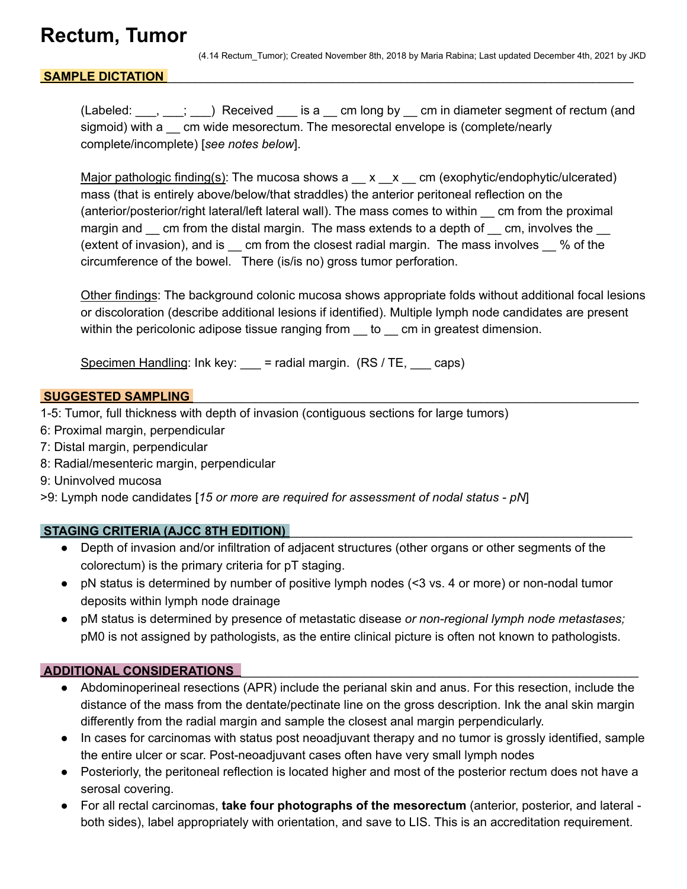## **Rectum, Tumor**

(4.14 Rectum\_Tumor); Created November 8th, 2018 by Maria Rabina; Last updated December 4th, 2021 by JKD

### SAMPLE DICTATION

(Labeled: \_\_\_, \_\_\_; \_\_) Received \_\_ is a \_\_ cm long by \_\_ cm in diameter segment of rectum (and sigmoid) with a \_\_ cm wide mesorectum. The mesorectal envelope is (complete/nearly complete/incomplete) [*see notes below*].

Major pathologic finding(s): The mucosa shows  $a \ x \ x \ cm$  (exophytic/endophytic/ulcerated) mass (that is entirely above/below/that straddles) the anterior peritoneal reflection on the (anterior/posterior/right lateral/left lateral wall). The mass comes to within \_\_ cm from the proximal margin and \_\_ cm from the distal margin. The mass extends to a depth of \_\_ cm, involves the \_\_ (extent of invasion), and is \_\_ cm from the closest radial margin. The mass involves \_\_ % of the circumference of the bowel. There (is/is no) gross tumor perforation.

Other findings: The background colonic mucosa shows appropriate folds without additional focal lesions or discoloration (describe additional lesions if identified). Multiple lymph node candidates are present within the pericolonic adipose tissue ranging from to come in greatest dimension.

Specimen Handling: Ink key:  $\equiv$  = radial margin. (RS / TE,  $\equiv$  caps)

#### **SUGGESTED SAMPLING**

- 1-5: Tumor, full thickness with depth of invasion (contiguous sections for large tumors)
- 6: Proximal margin, perpendicular
- 7: Distal margin, perpendicular
- 8: Radial/mesenteric margin, perpendicular
- 9: Uninvolved mucosa

>9: Lymph node candidates [*15 or more are required for assessment of nodal status - pN*]

#### **STAGING CRITERIA (AJCC 8TH EDITION)** \_\_\_\_\_\_\_\_\_\_\_\_\_\_\_\_\_\_\_\_\_\_\_\_\_\_\_\_\_\_\_\_\_\_\_\_\_\_\_\_\_\_\_\_\_\_\_\_\_\_

- Depth of invasion and/or infiltration of adjacent structures (other organs or other segments of the colorectum) is the primary criteria for pT staging.
- pN status is determined by number of positive lymph nodes (<3 vs. 4 or more) or non-nodal tumor deposits within lymph node drainage
- pM status is determined by presence of metastatic disease *or non-regional lymph node metastases;* pM0 is not assigned by pathologists, as the entire clinical picture is often not known to pathologists.

#### **ADDITIONAL CONSIDERATIONS** \_\_\_\_\_\_\_\_\_\_\_\_\_\_\_\_\_\_\_\_\_\_\_\_\_\_\_\_\_\_\_\_\_\_\_\_\_\_\_\_\_\_\_\_\_\_\_\_\_\_\_\_\_\_\_\_\_\_

- Abdominoperineal resections (APR) include the perianal skin and anus. For this resection, include the distance of the mass from the dentate/pectinate line on the gross description. Ink the anal skin margin differently from the radial margin and sample the closest anal margin perpendicularly.
- In cases for carcinomas with status post neoadjuvant therapy and no tumor is grossly identified, sample the entire ulcer or scar. Post-neoadjuvant cases often have very small lymph nodes
- Posteriorly, the peritoneal reflection is located higher and most of the posterior rectum does not have a serosal covering.
- For all rectal carcinomas, **take four photographs of the mesorectum** (anterior, posterior, and lateral both sides), label appropriately with orientation, and save to LIS. This is an accreditation requirement.